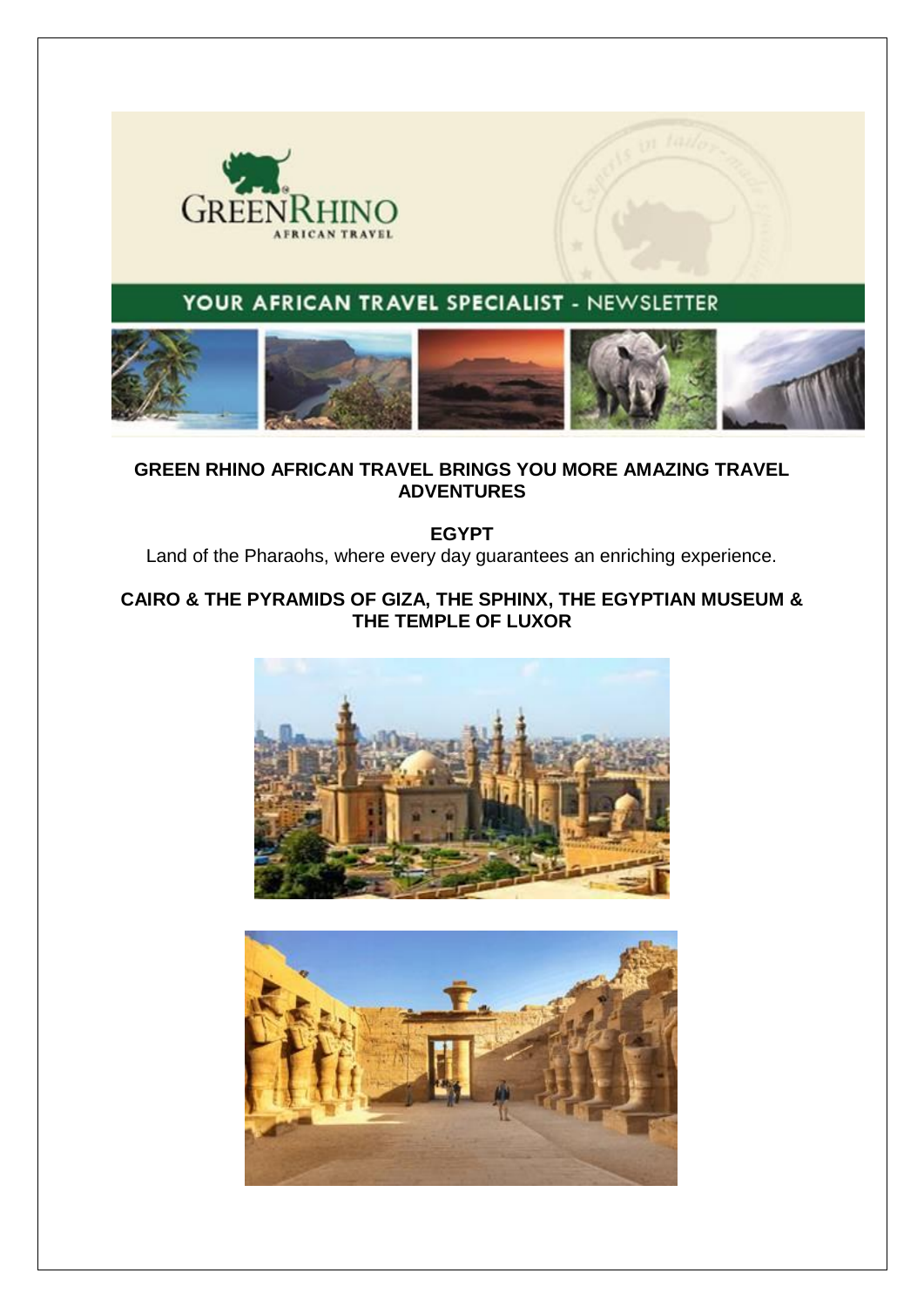

# YOUR AFRICAN TRAVEL SPECIALIST - NEWSLETTER



## **GREEN RHINO AFRICAN TRAVEL BRINGS YOU MORE AMAZING TRAVEL ADVENTURES**

**EGYPT** 

Land of the Pharaohs, where every day guarantees an enriching experience.

### **CAIRO & THE PYRAMIDS OF GIZA, THE SPHINX, THE EGYPTIAN MUSEUM & THE TEMPLE OF LUXOR**



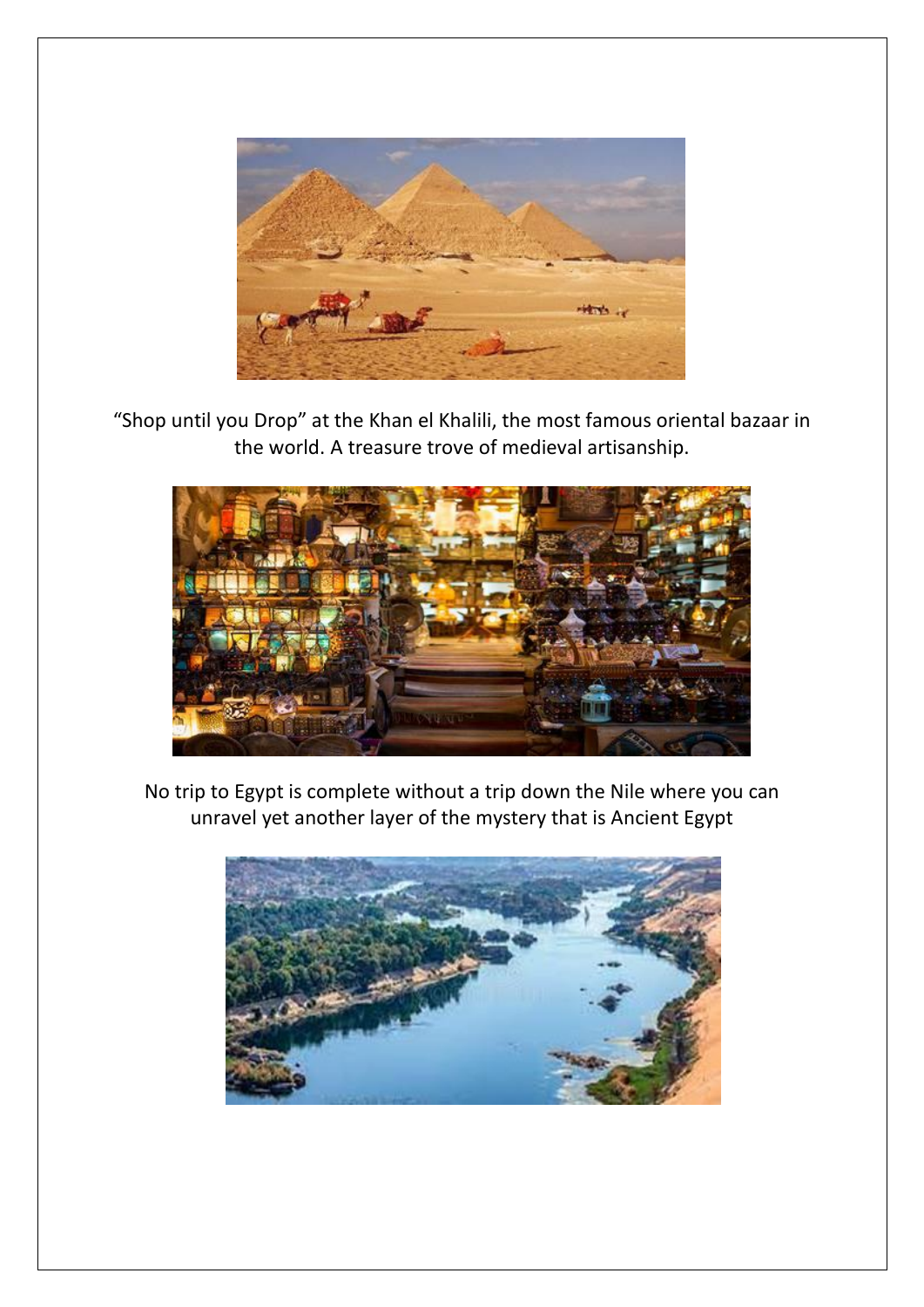

"Shop until you Drop" at the Khan el Khalili, the most famous oriental bazaar in the world. A treasure trove of medieval artisanship.



No trip to Egypt is complete without a trip down the Nile where you can unravel yet another layer of the mystery that is Ancient Egypt

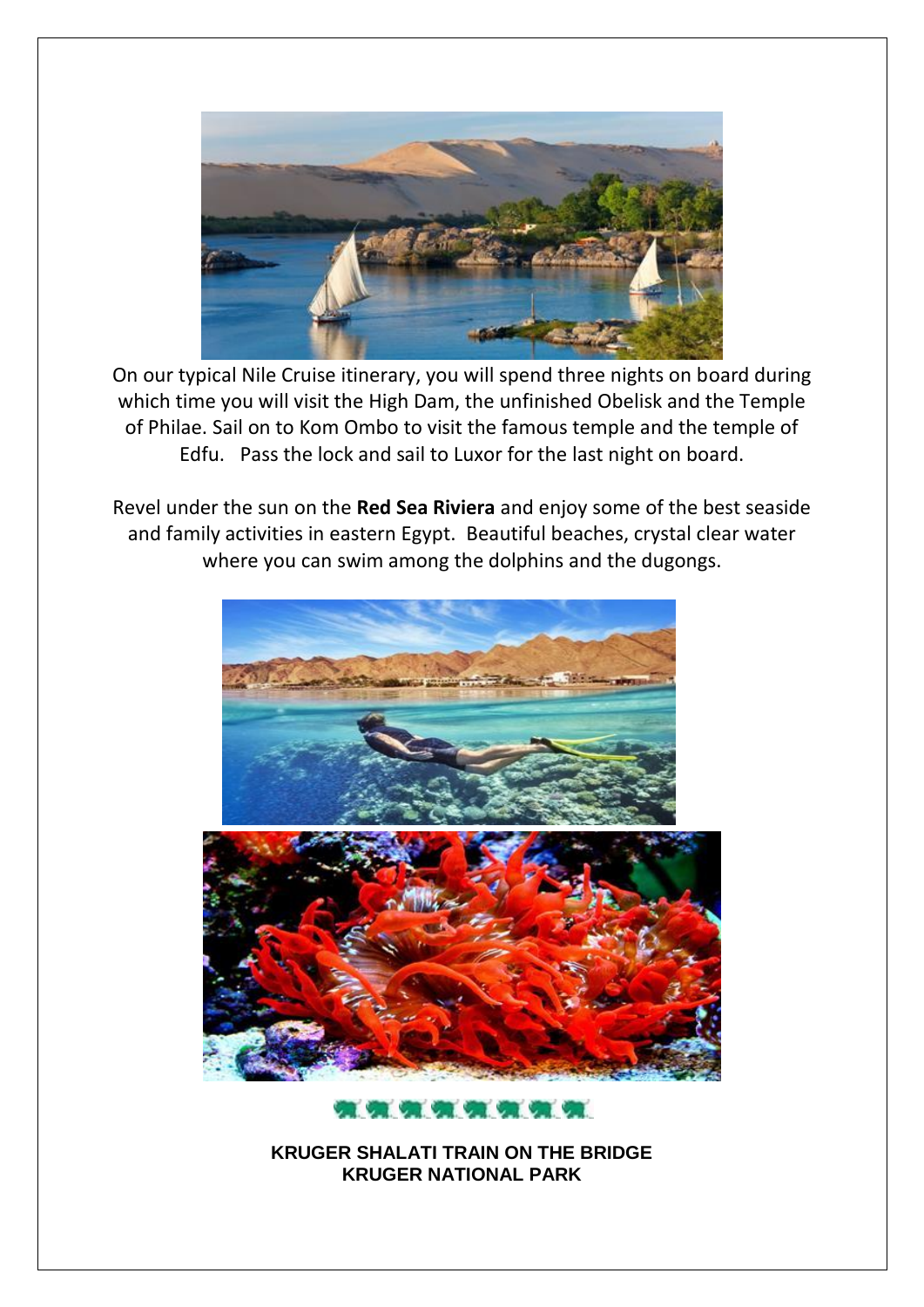

On our typical Nile Cruise itinerary, you will spend three nights on board during which time you will visit the High Dam, the unfinished Obelisk and the Temple of Philae. Sail on to Kom Ombo to visit the famous temple and the temple of Edfu. Pass the lock and sail to Luxor for the last night on board.

Revel under the sun on the **Red Sea Riviera** and enjoy some of the best seaside and family activities in eastern Egypt. Beautiful beaches, crystal clear water where you can swim among the dolphins and the dugongs.



..........

**KRUGER SHALATI TRAIN ON THE BRIDGE KRUGER NATIONAL PARK**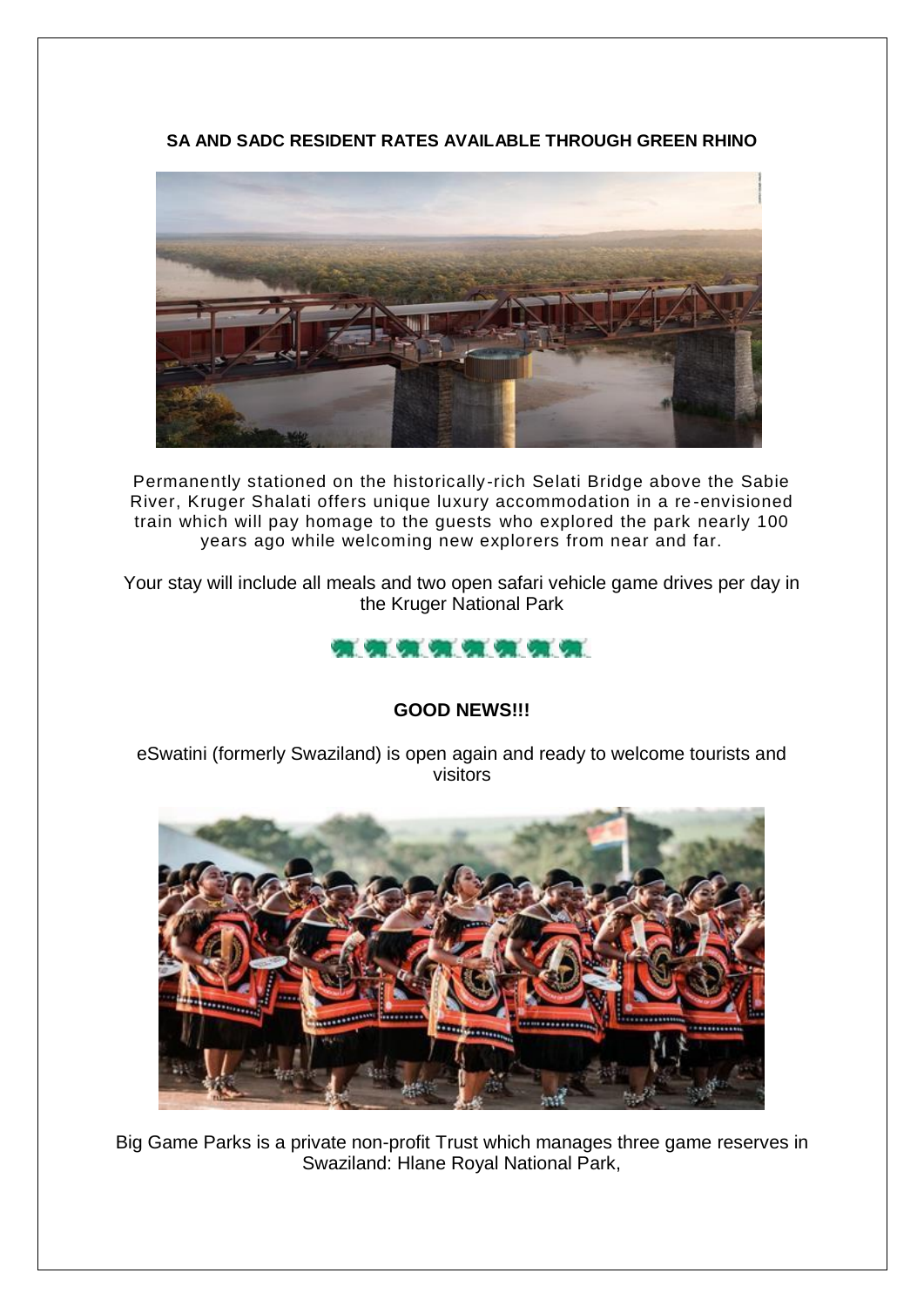**SA AND SADC RESIDENT RATES AVAILABLE THROUGH GREEN RHINO**



Permanently stationed on the historically-rich Selati Bridge above the Sabie River, Kruger Shalati offers unique luxury accommodation in a re -envisioned train which will pay homage to the guests who explored the park nearly 100 years ago while welcoming new explorers from near and far.

Your stay will include all meals and two open safari vehicle game drives per day in the Kruger National Park



## **GOOD NEWS!!!**

eSwatini (formerly Swaziland) is open again and ready to welcome tourists and visitors



Big Game Parks is a private non-profit Trust which manages three game reserves in Swaziland: Hlane Royal National Park,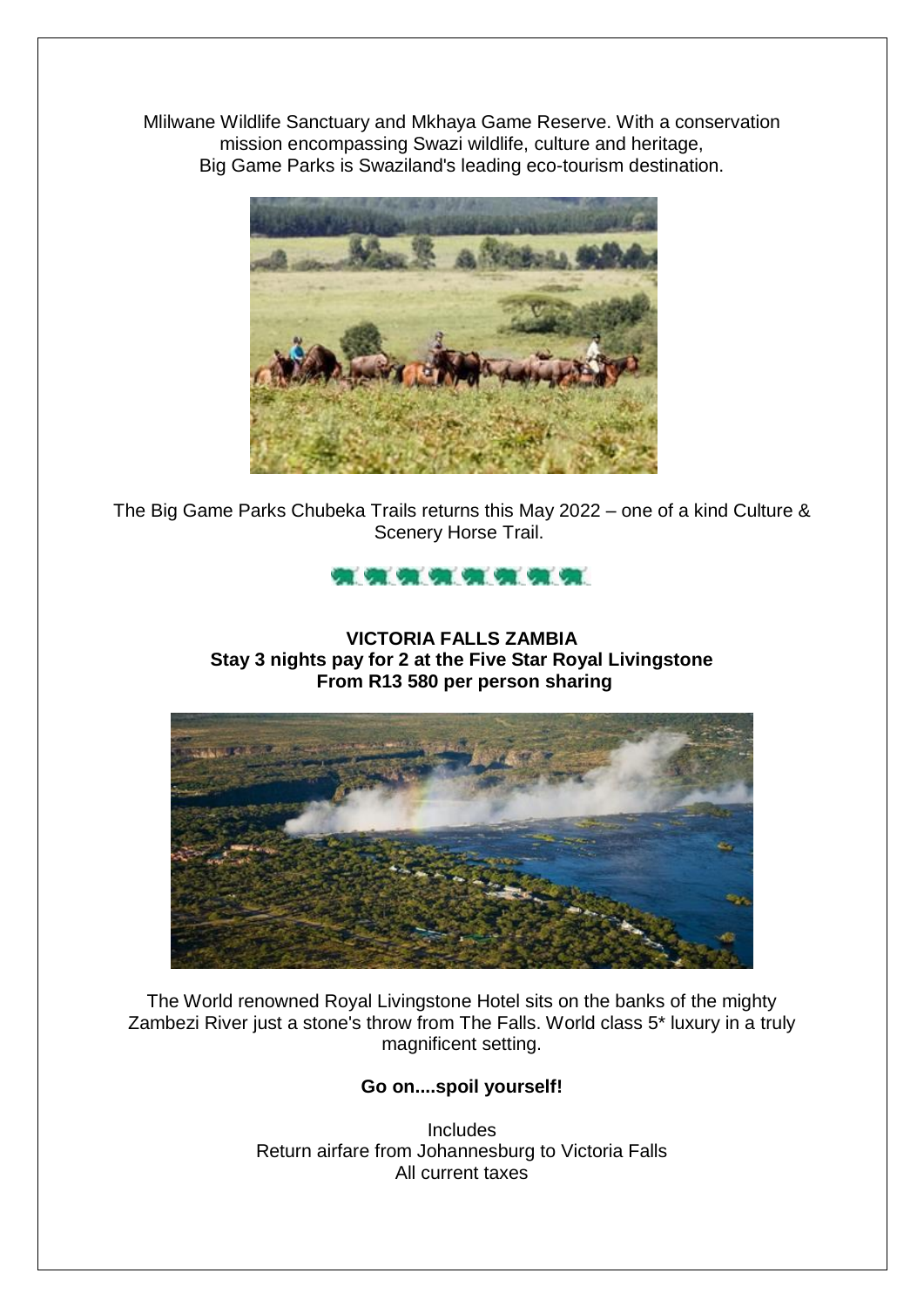Mlilwane Wildlife Sanctuary and Mkhaya Game Reserve. With a conservation mission encompassing Swazi wildlife, culture and heritage, Big Game Parks is Swaziland's leading eco-tourism destination.



The Big Game Parks Chubeka Trails returns this May 2022 – one of a kind Culture & Scenery Horse Trail.



### **VICTORIA FALLS ZAMBIA Stay 3 nights pay for 2 at the Five Star Royal Livingstone From R13 580 per person sharing**



The World renowned Royal Livingstone Hotel sits on the banks of the mighty Zambezi River just a stone's throw from The Falls. World class 5\* luxury in a truly magnificent setting.

**Go on....spoil yourself!**

**Includes** Return airfare from Johannesburg to Victoria Falls All current taxes